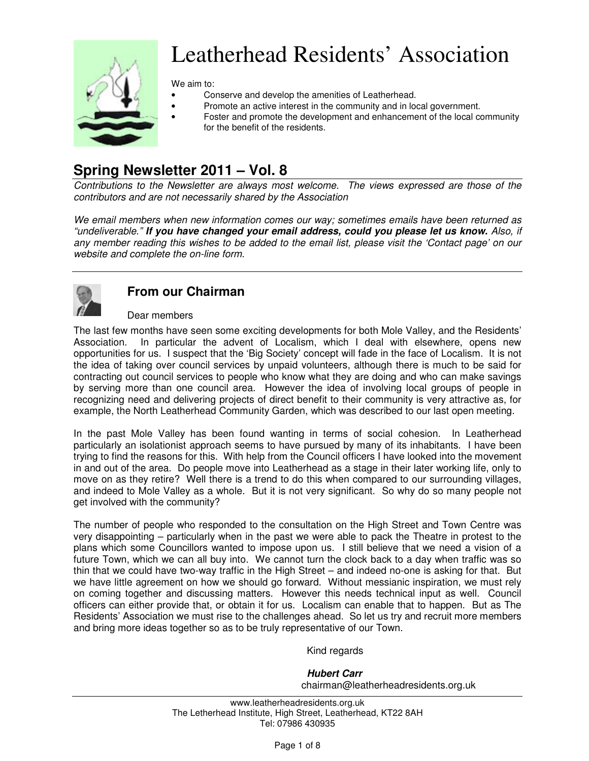

# Leatherhead Residents' Association

We aim to:

- Conserve and develop the amenities of Leatherhead.
	- Promote an active interest in the community and in local government.
	- Foster and promote the development and enhancement of the local community for the benefit of the residents.

# **Spring Newsletter 2011 – Vol. 8**

Contributions to the Newsletter are always most welcome. The views expressed are those of the contributors and are not necessarily shared by the Association

We email members when new information comes our way; sometimes emails have been returned as "undeliverable." **If you have changed your email address, could you please let us know.** Also, if any member reading this wishes to be added to the email list, please visit the 'Contact page' on our website and complete the on-line form.



# **From our Chairman**

#### Dear members

The last few months have seen some exciting developments for both Mole Valley, and the Residents' Association. In particular the advent of Localism, which I deal with elsewhere, opens new opportunities for us. I suspect that the 'Big Society' concept will fade in the face of Localism. It is not the idea of taking over council services by unpaid volunteers, although there is much to be said for contracting out council services to people who know what they are doing and who can make savings by serving more than one council area. However the idea of involving local groups of people in recognizing need and delivering projects of direct benefit to their community is very attractive as, for example, the North Leatherhead Community Garden, which was described to our last open meeting.

In the past Mole Valley has been found wanting in terms of social cohesion. In Leatherhead particularly an isolationist approach seems to have pursued by many of its inhabitants. I have been trying to find the reasons for this. With help from the Council officers I have looked into the movement in and out of the area. Do people move into Leatherhead as a stage in their later working life, only to move on as they retire? Well there is a trend to do this when compared to our surrounding villages, and indeed to Mole Valley as a whole. But it is not very significant. So why do so many people not get involved with the community?

The number of people who responded to the consultation on the High Street and Town Centre was very disappointing – particularly when in the past we were able to pack the Theatre in protest to the plans which some Councillors wanted to impose upon us. I still believe that we need a vision of a future Town, which we can all buy into. We cannot turn the clock back to a day when traffic was so thin that we could have two-way traffic in the High Street – and indeed no-one is asking for that. But we have little agreement on how we should go forward. Without messianic inspiration, we must rely on coming together and discussing matters. However this needs technical input as well. Council officers can either provide that, or obtain it for us. Localism can enable that to happen. But as The Residents' Association we must rise to the challenges ahead. So let us try and recruit more members and bring more ideas together so as to be truly representative of our Town.

#### Kind regards

#### **Hubert Carr** chairman@leatherheadresidents.org.uk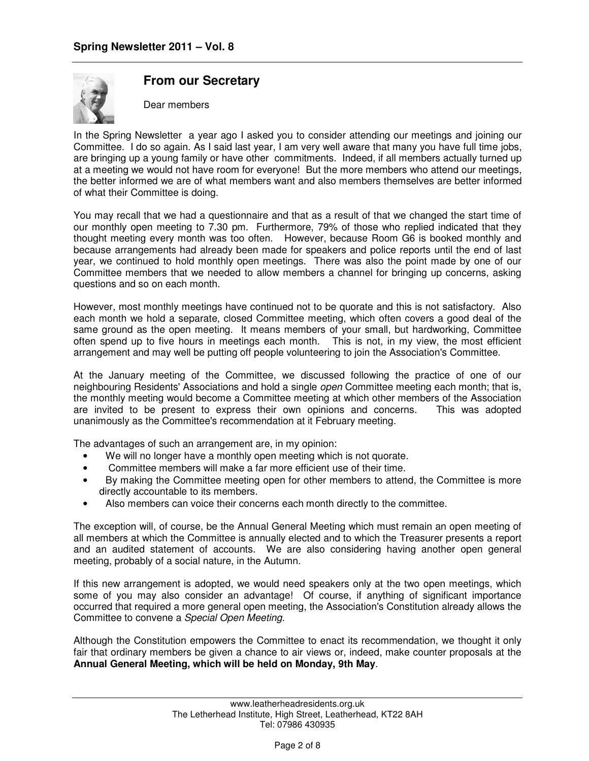

## **From our Secretary**

Dear members

In the Spring Newsletter a year ago I asked you to consider attending our meetings and joining our Committee. I do so again. As I said last year, I am very well aware that many you have full time jobs, are bringing up a young family or have other commitments. Indeed, if all members actually turned up at a meeting we would not have room for everyone! But the more members who attend our meetings, the better informed we are of what members want and also members themselves are better informed of what their Committee is doing.

You may recall that we had a questionnaire and that as a result of that we changed the start time of our monthly open meeting to 7.30 pm. Furthermore, 79% of those who replied indicated that they thought meeting every month was too often. However, because Room G6 is booked monthly and because arrangements had already been made for speakers and police reports until the end of last year, we continued to hold monthly open meetings. There was also the point made by one of our Committee members that we needed to allow members a channel for bringing up concerns, asking questions and so on each month.

However, most monthly meetings have continued not to be quorate and this is not satisfactory. Also each month we hold a separate, closed Committee meeting, which often covers a good deal of the same ground as the open meeting. It means members of your small, but hardworking, Committee often spend up to five hours in meetings each month. This is not, in my view, the most efficient arrangement and may well be putting off people volunteering to join the Association's Committee.

At the January meeting of the Committee, we discussed following the practice of one of our neighbouring Residents' Associations and hold a single *open* Committee meeting each month; that is, the monthly meeting would become a Committee meeting at which other members of the Association are invited to be present to express their own opinions and concerns. This was adopted unanimously as the Committee's recommendation at it February meeting.

The advantages of such an arrangement are, in my opinion:

- We will no longer have a monthly open meeting which is not quorate.
- Committee members will make a far more efficient use of their time.
- By making the Committee meeting open for other members to attend, the Committee is more directly accountable to its members.
- Also members can voice their concerns each month directly to the committee.

The exception will, of course, be the Annual General Meeting which must remain an open meeting of all members at which the Committee is annually elected and to which the Treasurer presents a report and an audited statement of accounts. We are also considering having another open general meeting, probably of a social nature, in the Autumn.

If this new arrangement is adopted, we would need speakers only at the two open meetings, which some of you may also consider an advantage! Of course, if anything of significant importance occurred that required a more general open meeting, the Association's Constitution already allows the Committee to convene a Special Open Meeting.

Although the Constitution empowers the Committee to enact its recommendation, we thought it only fair that ordinary members be given a chance to air views or, indeed, make counter proposals at the **Annual General Meeting, which will be held on Monday, 9th May**.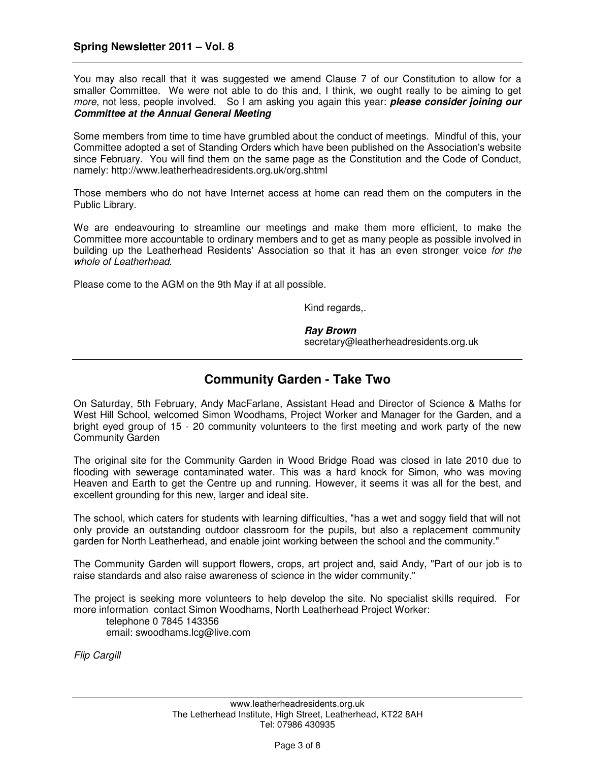You may also recall that it was suggested we amend Clause 7 of our Constitution to allow for a smaller Committee. We were not able to do this and, I think, we ought really to be aiming to get more, not less, people involved. So I am asking you again this year: **please consider joining our Committee at the Annual General Meeting** 

Some members from time to time have grumbled about the conduct of meetings. Mindful of this, your Committee adopted a set of Standing Orders which have been published on the Association's website since February. You will find them on the same page as the Constitution and the Code of Conduct, namely: http://www.leatherheadresidents.org.uk/org.shtml

Those members who do not have Internet access at home can read them on the computers in the Public Library.

We are endeavouring to streamline our meetings and make them more efficient, to make the Committee more accountable to ordinary members and to get as many people as possible involved in building up the Leatherhead Residents' Association so that it has an even stronger voice for the whole of Leatherhead.

Please come to the AGM on the 9th May if at all possible.

Kind regards,.

**Ray Brown**  secretary@leatherheadresidents.org.uk

# **Community Garden - Take Two**

On Saturday, 5th February, Andy MacFarlane, Assistant Head and Director of Science & Maths for West Hill School, welcomed Simon Woodhams, Project Worker and Manager for the Garden, and a bright eyed group of 15 - 20 community volunteers to the first meeting and work party of the new Community Garden

The original site for the Community Garden in Wood Bridge Road was closed in late 2010 due to flooding with sewerage contaminated water. This was a hard knock for Simon, who was moving Heaven and Earth to get the Centre up and running. However, it seems it was all for the best, and excellent grounding for this new, larger and ideal site.

The school, which caters for students with learning difficulties, "has a wet and soggy field that will not only provide an outstanding outdoor classroom for the pupils, but also a replacement community garden for North Leatherhead, and enable joint working between the school and the community."

The Community Garden will support flowers, crops, art project and, said Andy, "Part of our job is to raise standards and also raise awareness of science in the wider community."

The project is seeking more volunteers to help develop the site. No specialist skills required. For more information contact Simon Woodhams, North Leatherhead Project Worker:

 telephone 0 7845 143356 email: swoodhams.lcg@live.com

Flip Cargill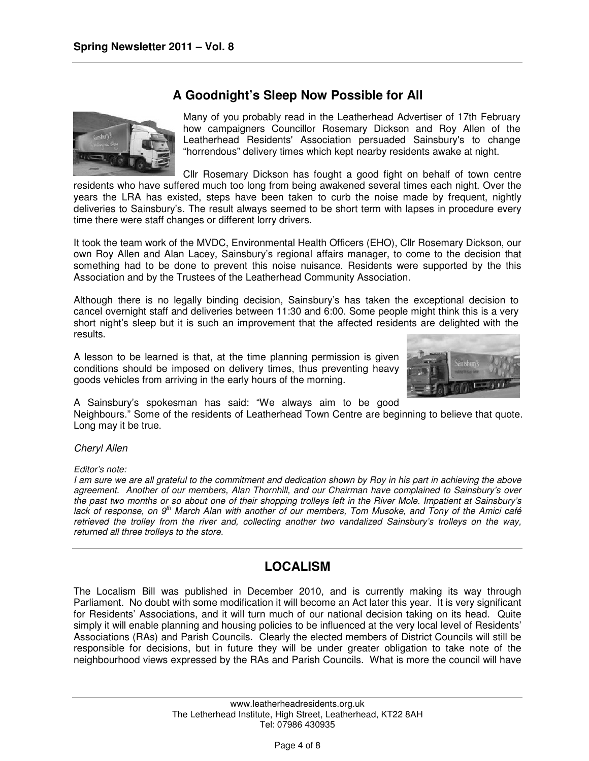# **A Goodnight's Sleep Now Possible for All**



Many of you probably read in the Leatherhead Advertiser of 17th February how campaigners Councillor Rosemary Dickson and Roy Allen of the Leatherhead Residents' Association persuaded Sainsbury's to change "horrendous" delivery times which kept nearby residents awake at night.

Cllr Rosemary Dickson has fought a good fight on behalf of town centre residents who have suffered much too long from being awakened several times each night. Over the years the LRA has existed, steps have been taken to curb the noise made by frequent, nightly deliveries to Sainsbury's. The result always seemed to be short term with lapses in procedure every time there were staff changes or different lorry drivers.

It took the team work of the MVDC, Environmental Health Officers (EHO), Cllr Rosemary Dickson, our own Roy Allen and Alan Lacey, Sainsbury's regional affairs manager, to come to the decision that something had to be done to prevent this noise nuisance. Residents were supported by the this Association and by the Trustees of the Leatherhead Community Association.

Although there is no legally binding decision, Sainsbury's has taken the exceptional decision to cancel overnight staff and deliveries between 11:30 and 6:00. Some people might think this is a very short night's sleep but it is such an improvement that the affected residents are delighted with the results.

A lesson to be learned is that, at the time planning permission is given conditions should be imposed on delivery times, thus preventing heavy goods vehicles from arriving in the early hours of the morning.



A Sainsbury's spokesman has said: "We always aim to be good

Neighbours." Some of the residents of Leatherhead Town Centre are beginning to believe that quote. Long may it be true.

Cheryl Allen

Editor's note:

I am sure we are all grateful to the commitment and dedication shown by Roy in his part in achieving the above agreement. Another of our members, Alan Thornhill, and our Chairman have complained to Sainsbury's over the past two months or so about one of their shopping trolleys left in the River Mole. Impatient at Sainsbury's lack of response, on  $9<sup>th</sup>$  March Alan with another of our members, Tom Musoke, and Tony of the Amici café retrieved the trolley from the river and, collecting another two vandalized Sainsbury's trolleys on the way, returned all three trolleys to the store.

# **LOCALISM**

The Localism Bill was published in December 2010, and is currently making its way through Parliament. No doubt with some modification it will become an Act later this year. It is very significant for Residents' Associations, and it will turn much of our national decision taking on its head. Quite simply it will enable planning and housing policies to be influenced at the very local level of Residents' Associations (RAs) and Parish Councils. Clearly the elected members of District Councils will still be responsible for decisions, but in future they will be under greater obligation to take note of the neighbourhood views expressed by the RAs and Parish Councils. What is more the council will have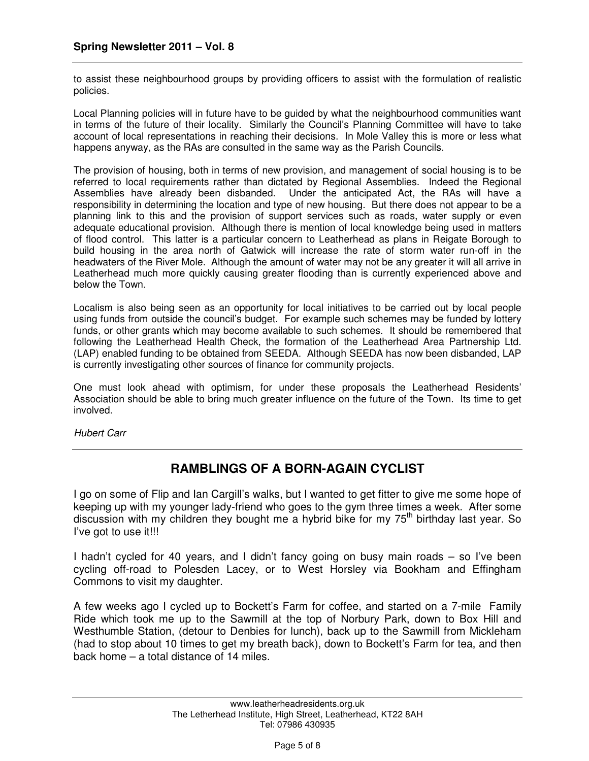to assist these neighbourhood groups by providing officers to assist with the formulation of realistic policies.

Local Planning policies will in future have to be guided by what the neighbourhood communities want in terms of the future of their locality. Similarly the Council's Planning Committee will have to take account of local representations in reaching their decisions. In Mole Valley this is more or less what happens anyway, as the RAs are consulted in the same way as the Parish Councils.

The provision of housing, both in terms of new provision, and management of social housing is to be referred to local requirements rather than dictated by Regional Assemblies. Indeed the Regional Assemblies have already been disbanded. Under the anticipated Act, the RAs will have a responsibility in determining the location and type of new housing. But there does not appear to be a planning link to this and the provision of support services such as roads, water supply or even adequate educational provision. Although there is mention of local knowledge being used in matters of flood control. This latter is a particular concern to Leatherhead as plans in Reigate Borough to build housing in the area north of Gatwick will increase the rate of storm water run-off in the headwaters of the River Mole. Although the amount of water may not be any greater it will all arrive in Leatherhead much more quickly causing greater flooding than is currently experienced above and below the Town.

Localism is also being seen as an opportunity for local initiatives to be carried out by local people using funds from outside the council's budget. For example such schemes may be funded by lottery funds, or other grants which may become available to such schemes. It should be remembered that following the Leatherhead Health Check, the formation of the Leatherhead Area Partnership Ltd. (LAP) enabled funding to be obtained from SEEDA. Although SEEDA has now been disbanded, LAP is currently investigating other sources of finance for community projects.

One must look ahead with optimism, for under these proposals the Leatherhead Residents' Association should be able to bring much greater influence on the future of the Town. Its time to get involved.

Hubert Carr

# **RAMBLINGS OF A BORN-AGAIN CYCLIST**

I go on some of Flip and Ian Cargill's walks, but I wanted to get fitter to give me some hope of keeping up with my younger lady-friend who goes to the gym three times a week. After some discussion with my children they bought me a hybrid bike for my  $75<sup>th</sup>$  birthday last year. So I've got to use it!!!

I hadn't cycled for 40 years, and I didn't fancy going on busy main roads – so I've been cycling off-road to Polesden Lacey, or to West Horsley via Bookham and Effingham Commons to visit my daughter.

A few weeks ago I cycled up to Bockett's Farm for coffee, and started on a 7-mile Family Ride which took me up to the Sawmill at the top of Norbury Park, down to Box Hill and Westhumble Station, (detour to Denbies for lunch), back up to the Sawmill from Mickleham (had to stop about 10 times to get my breath back), down to Bockett's Farm for tea, and then back home – a total distance of 14 miles.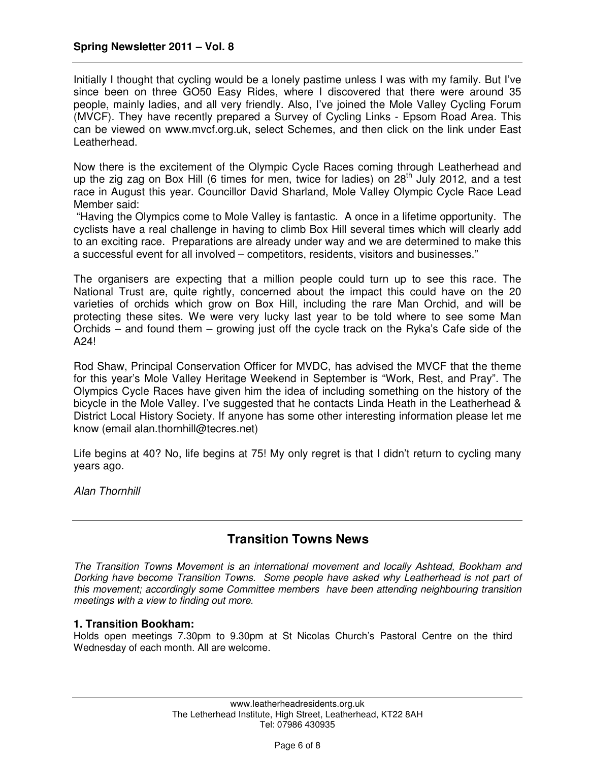Initially I thought that cycling would be a lonely pastime unless I was with my family. But I've since been on three GO50 Easy Rides, where I discovered that there were around 35 people, mainly ladies, and all very friendly. Also, I've joined the Mole Valley Cycling Forum (MVCF). They have recently prepared a Survey of Cycling Links - Epsom Road Area. This can be viewed on www.mvcf.org.uk, select Schemes, and then click on the link under East Leatherhead.

Now there is the excitement of the Olympic Cycle Races coming through Leatherhead and up the zig zag on Box Hill (6 times for men, twice for ladies) on  $28<sup>th</sup>$  July 2012, and a test race in August this year. Councillor David Sharland, Mole Valley Olympic Cycle Race Lead Member said:

 "Having the Olympics come to Mole Valley is fantastic. A once in a lifetime opportunity. The cyclists have a real challenge in having to climb Box Hill several times which will clearly add to an exciting race. Preparations are already under way and we are determined to make this a successful event for all involved – competitors, residents, visitors and businesses."

The organisers are expecting that a million people could turn up to see this race. The National Trust are, quite rightly, concerned about the impact this could have on the 20 varieties of orchids which grow on Box Hill, including the rare Man Orchid, and will be protecting these sites. We were very lucky last year to be told where to see some Man Orchids – and found them – growing just off the cycle track on the Ryka's Cafe side of the A24!

Rod Shaw, Principal Conservation Officer for MVDC, has advised the MVCF that the theme for this year's Mole Valley Heritage Weekend in September is "Work, Rest, and Pray". The Olympics Cycle Races have given him the idea of including something on the history of the bicycle in the Mole Valley. I've suggested that he contacts Linda Heath in the Leatherhead & District Local History Society. If anyone has some other interesting information please let me know (email alan.thornhill@tecres.net)

Life begins at 40? No, life begins at 75! My only regret is that I didn't return to cycling many years ago.

Alan Thornhill

## **Transition Towns News**

The Transition Towns Movement is an international movement and locally Ashtead, Bookham and Dorking have become Transition Towns. Some people have asked why Leatherhead is not part of this movement; accordingly some Committee members have been attending neighbouring transition meetings with a view to finding out more.

#### **1. Transition Bookham:**

Holds open meetings 7.30pm to 9.30pm at St Nicolas Church's Pastoral Centre on the third Wednesday of each month. All are welcome.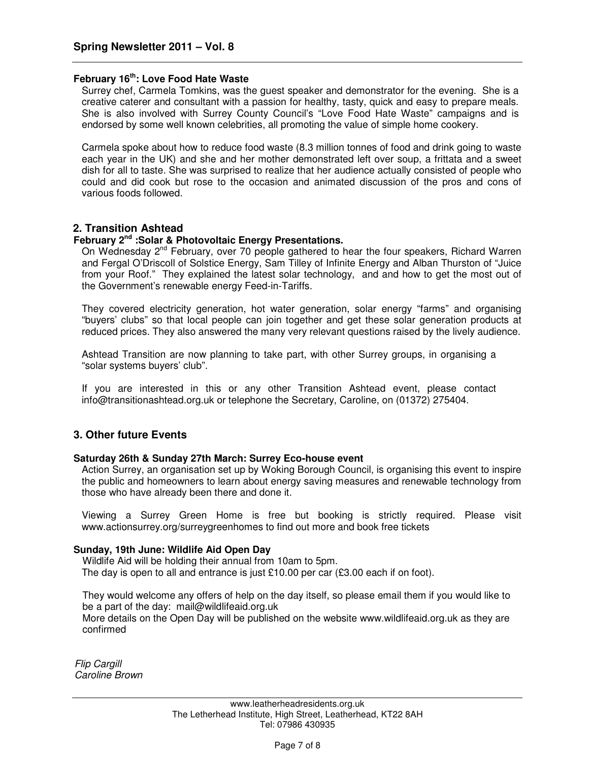#### **February 16th: Love Food Hate Waste**

Surrey chef, Carmela Tomkins, was the guest speaker and demonstrator for the evening. She is a creative caterer and consultant with a passion for healthy, tasty, quick and easy to prepare meals. She is also involved with Surrey County Council's "Love Food Hate Waste" campaigns and is endorsed by some well known celebrities, all promoting the value of simple home cookery.

Carmela spoke about how to reduce food waste (8.3 million tonnes of food and drink going to waste each year in the UK) and she and her mother demonstrated left over soup, a frittata and a sweet dish for all to taste. She was surprised to realize that her audience actually consisted of people who could and did cook but rose to the occasion and animated discussion of the pros and cons of various foods followed.

#### **2. Transition Ashtead**

#### **February 2nd :Solar & Photovoltaic Energy Presentations.**

On Wednesday 2<sup>nd</sup> February, over 70 people gathered to hear the four speakers, Richard Warren and Fergal O'Driscoll of Solstice Energy, Sam Tilley of Infinite Energy and Alban Thurston of "Juice from your Roof." They explained the latest solar technology, and and how to get the most out of the Government's renewable energy Feed-in-Tariffs.

They covered electricity generation, hot water generation, solar energy "farms" and organising "buyers' clubs" so that local people can join together and get these solar generation products at reduced prices. They also answered the many very relevant questions raised by the lively audience.

Ashtead Transition are now planning to take part, with other Surrey groups, in organising a "solar systems buyers' club".

If you are interested in this or any other Transition Ashtead event, please contact info@transitionashtead.org.uk or telephone the Secretary, Caroline, on (01372) 275404.

#### **3. Other future Events**

#### **Saturday 26th & Sunday 27th March: Surrey Eco-house event**

Action Surrey, an organisation set up by Woking Borough Council, is organising this event to inspire the public and homeowners to learn about energy saving measures and renewable technology from those who have already been there and done it.

Viewing a Surrey Green Home is free but booking is strictly required. Please visit www.actionsurrey.org/surreygreenhomes to find out more and book free tickets

#### **Sunday, 19th June: Wildlife Aid Open Day**

Wildlife Aid will be holding their annual from 10am to 5pm. The day is open to all and entrance is just £10.00 per car (£3.00 each if on foot).

They would welcome any offers of help on the day itself, so please email them if you would like to be a part of the day: mail@wildlifeaid.org.uk

More details on the Open Day will be published on the website www.wildlifeaid.org.uk as they are confirmed

Flip Cargill Caroline Brown